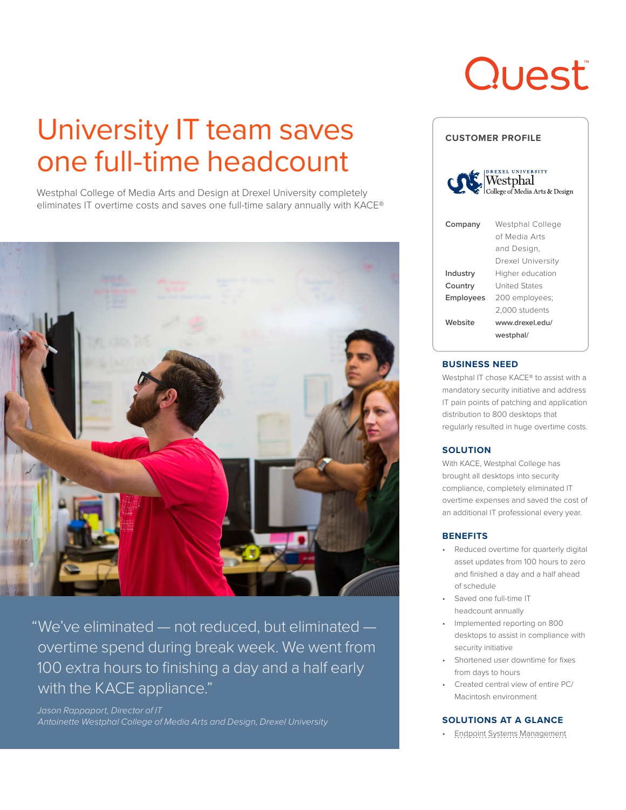# **Quest**

## University IT team saves one full-time headcount

Westphal College of Media Arts and Design at Drexel University completely eliminates IT overtime costs and saves one full-time salary annually with KACE®



"We've eliminated — not reduced, but eliminated overtime spend during break week. We went from 100 extra hours to finishing a day and a half early with the KACE appliance."

*Jason Rappaport, Director of IT Antoinette Westphal College of Media Arts and Design, Drexel University*

| <b>CUSTOMER PROFILE</b>                                                                                                                                                                                                                                                                                                                                                  |                                                                       |
|--------------------------------------------------------------------------------------------------------------------------------------------------------------------------------------------------------------------------------------------------------------------------------------------------------------------------------------------------------------------------|-----------------------------------------------------------------------|
| <b>UNIVERSITY</b><br>$\begin{picture}(160,10) \put(0,0){\line(1,0){10}} \put(15,0){\line(1,0){10}} \put(15,0){\line(1,0){10}} \put(15,0){\line(1,0){10}} \put(15,0){\line(1,0){10}} \put(15,0){\line(1,0){10}} \put(15,0){\line(1,0){10}} \put(15,0){\line(1,0){10}} \put(15,0){\line(1,0){10}} \put(15,0){\line(1,0){10}} \put(15,0){\line(1,0){10}} \put(15,0){\line($ |                                                                       |
| Company                                                                                                                                                                                                                                                                                                                                                                  | Westphal College<br>of Media Arts<br>and Design.<br>Drexel University |
| Industry                                                                                                                                                                                                                                                                                                                                                                 | Higher education                                                      |
| Country                                                                                                                                                                                                                                                                                                                                                                  | <b>United States</b>                                                  |
| Employees                                                                                                                                                                                                                                                                                                                                                                | 200 employees;                                                        |
|                                                                                                                                                                                                                                                                                                                                                                          | 2,000 students                                                        |
| Website                                                                                                                                                                                                                                                                                                                                                                  | www.drexel.edu/                                                       |

#### **BUSINESS NEED**

Westphal IT chose KACE® to assist with a mandatory security initiative and address IT pain points of patching and application distribution to 800 desktops that regularly resulted in huge overtime costs.

**[westphal/](http://www.drexel.edu/westphal/)**

#### **SOLUTION**

With KACE, Westphal College has brought all desktops into security compliance, completely eliminated IT overtime expenses and saved the cost of an additional IT professional every year.

#### **BENEFITS**

- Reduced overtime for quarterly digital asset updates from 100 hours to zero and finished a day and a half ahead of schedule
- Saved one full-time IT headcount annually
- Implemented reporting on 800 desktops to assist in compliance with security initiative
- Shortened user downtime for fixes from days to hours
- Created central view of entire PC/ Macintosh environment

#### **SOLUTIONS AT A GLANCE**

• [Endpoint Systems Management](https://www.quest.com/kace/)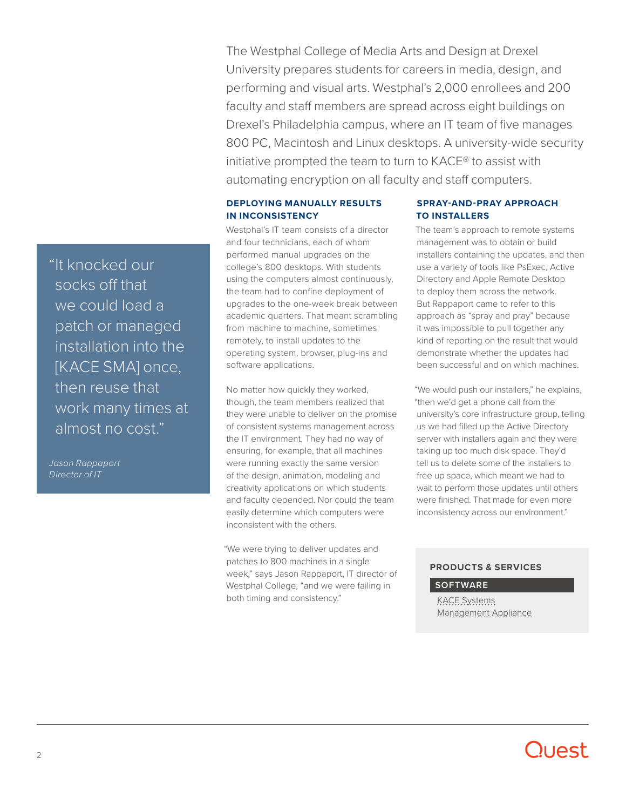The Westphal College of Media Arts and Design at Drexel University prepares students for careers in media, design, and performing and visual arts. Westphal's 2,000 enrollees and 200 faculty and staff members are spread across eight buildings on Drexel's Philadelphia campus, where an IT team of five manages 800 PC, Macintosh and Linux desktops. A university-wide security initiative prompted the team to turn to KACE® to assist with automating encryption on all faculty and staff computers.

#### **DEPLOYING MANUALLY RESULTS IN INCONSISTENCY**

Westphal's IT team consists of a director and four technicians, each of whom performed manual upgrades on the college's 800 desktops. With students using the computers almost continuously, the team had to confine deployment of upgrades to the one-week break between academic quarters. That meant scrambling from machine to machine, sometimes remotely, to install updates to the operating system, browser, plug-ins and software applications.

No matter how quickly they worked, though, the team members realized that they were unable to deliver on the promise of consistent systems management across the IT environment. They had no way of ensuring, for example, that all machines were running exactly the same version of the design, animation, modeling and creativity applications on which students and faculty depended. Nor could the team easily determine which computers were inconsistent with the others.

"We were trying to deliver updates and patches to 800 machines in a single week," says Jason Rappaport, IT director of Westphal College, "and we were failing in both timing and consistency."

#### **SPRAY-AND-PRAY APPROACH TO INSTALLERS**

The team's approach to remote systems management was to obtain or build installers containing the updates, and then use a variety of tools like PsExec, Active Directory and Apple Remote Desktop to deploy them across the network. But Rappaport came to refer to this approach as "spray and pray" because it was impossible to pull together any kind of reporting on the result that would demonstrate whether the updates had been successful and on which machines.

"We would push our installers," he explains, "then we'd get a phone call from the university's core infrastructure group, telling us we had filled up the Active Directory server with installers again and they were taking up too much disk space. They'd tell us to delete some of the installers to free up space, which meant we had to wait to perform those updates until others were finished. That made for even more inconsistency across our environment."

#### **PRODUCTS & SERVICES**

#### **SOFTWARE**

[KACE Systems](https://www.quest.com/products/kace-k1000-systems-management-appliance/)  [Management Appliance](https://www.quest.com/products/kace-k1000-systems-management-appliance/)

"It knocked our socks off that we could load a patch or managed installation into the [KACE SMA] once, then reuse that work many times at almost no cost."

*Jason Rappaport Director of IT*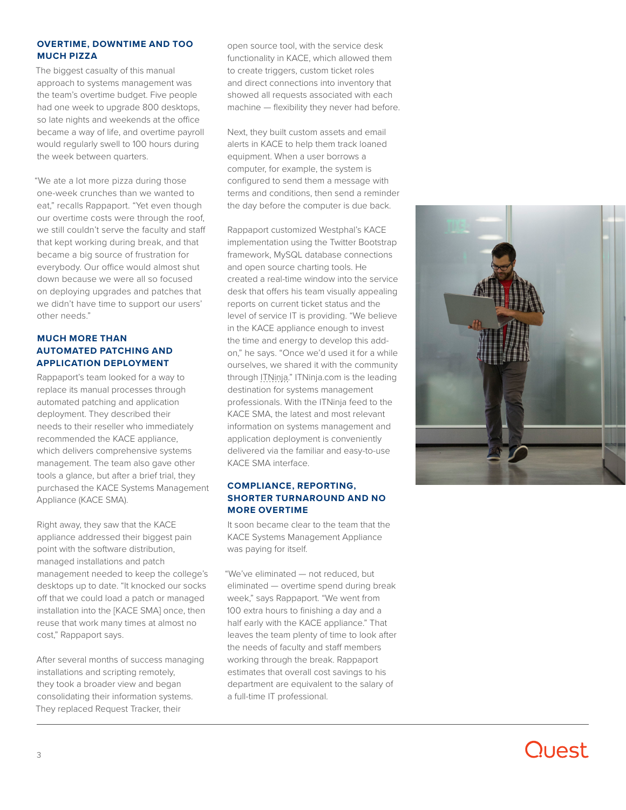#### **OVERTIME, DOWNTIME AND TOO MUCH PIZZA**

The biggest casualty of this manual approach to systems management was the team's overtime budget. Five people had one week to upgrade 800 desktops, so late nights and weekends at the office became a way of life, and overtime payroll would regularly swell to 100 hours during the week between quarters.

"We ate a lot more pizza during those one-week crunches than we wanted to eat," recalls Rappaport. "Yet even though our overtime costs were through the roof, we still couldn't serve the faculty and staff that kept working during break, and that became a big source of frustration for everybody. Our office would almost shut down because we were all so focused on deploying upgrades and patches that we didn't have time to support our users' other needs."

#### **MUCH MORE THAN AUTOMATED PATCHING AND APPLICATION DEPLOYMENT**

Rappaport's team looked for a way to replace its manual processes through automated patching and application deployment. They described their needs to their reseller who immediately recommended the KACE appliance, which delivers comprehensive systems management. The team also gave other tools a glance, but after a brief trial, they purchased the KACE Systems Management Appliance (KACE SMA).

Right away, they saw that the KACE appliance addressed their biggest pain point with the software distribution, managed installations and patch management needed to keep the college's desktops up to date. "It knocked our socks off that we could load a patch or managed installation into the [KACE SMA] once, then reuse that work many times at almost no cost," Rappaport says.

After several months of success managing installations and scripting remotely, they took a broader view and began consolidating their information systems. They replaced Request Tracker, their

open source tool, with the service desk functionality in KACE, which allowed them to create triggers, custom ticket roles and direct connections into inventory that showed all requests associated with each machine — flexibility they never had before.

Next, they built custom assets and email alerts in KACE to help them track loaned equipment. When a user borrows a computer, for example, the system is configured to send them a message with terms and conditions, then send a reminder the day before the computer is due back.

Rappaport customized Westphal's KACE implementation using the Twitter Bootstrap framework, MySQL database connections and open source charting tools. He created a real-time window into the service desk that offers his team visually appealing reports on current ticket status and the level of service IT is providing. "We believe in the KACE appliance enough to invest the time and energy to develop this addon," he says. "Once we'd used it for a while ourselves, we shared it with the community through [ITNinja.](http://www.itninja.com/blog/view/twitter-bootstrap-for-kace-service-desk)" ITNinja.com is the leading destination for systems management professionals. With the ITNinja feed to the KACE SMA, the latest and most relevant information on systems management and application deployment is conveniently delivered via the familiar and easy-to-use KACE SMA interface.

#### **COMPLIANCE, REPORTING, SHORTER TURNAROUND AND NO MORE OVERTIME**

It soon became clear to the team that the KACE Systems Management Appliance was paying for itself.

"We've eliminated — not reduced, but eliminated — overtime spend during break week," says Rappaport. "We went from 100 extra hours to finishing a day and a half early with the KACE appliance." That leaves the team plenty of time to look after the needs of faculty and staff members working through the break. Rappaport estimates that overall cost savings to his department are equivalent to the salary of a full-time IT professional.